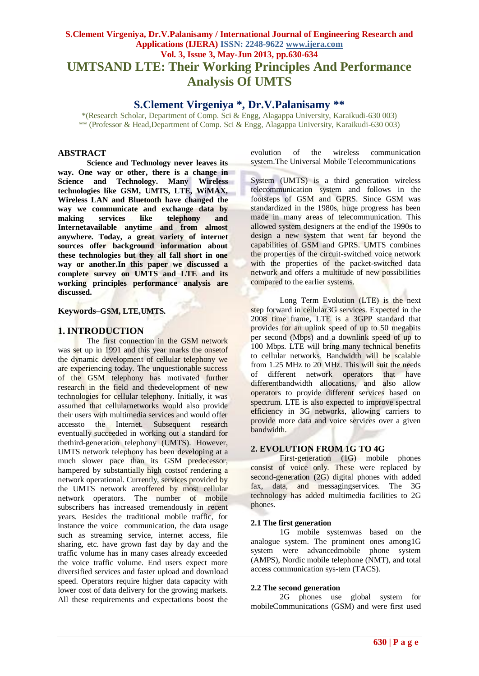## **S.Clement Virgeniya, Dr.V.Palanisamy / International Journal of Engineering Research and Applications (IJERA) ISSN: 2248-9622 www.ijera.com Vol. 3, Issue 3, May-Jun 2013, pp.630-634 UMTSAND LTE: Their Working Principles And Performance Analysis Of UMTS**

**S.Clement Virgeniya \*, Dr.V.Palanisamy \*\***

\*(Research Scholar, Department of Comp. Sci & Engg, Alagappa University, Karaikudi-630 003) \*\* (Professor & Head,Department of Comp. Sci & Engg, Alagappa University, Karaikudi-630 003)

## **ABSTRACT**

**Science and Technology never leaves its way. One way or other, there is a change in Science and Technology. Many Wireless technologies like GSM, UMTS, LTE, WiMAX, Wireless LAN and Bluetooth have changed the way we communicate and exchange data by making services like telephony and Internetavailable anytime and from almost anywhere. Today, a great variety of internet sources offer background information about these technologies but they all fall short in one way or another.In this paper we discussed a complete survey on UMTS and LTE and its working principles performance analysis are discussed.**

## **Keywords***–***GSM, LTE,UMTS***.*

## **1. INTRODUCTION**

The first connection in the GSM network was set up in 1991 and this year marks the onsetof the dynamic development of cellular telephony we are experiencing today. The unquestionable success of the GSM telephony has motivated further research in the field and thedevelopment of new technologies for cellular telephony. Initially, it was assumed that cellularnetworks would also provide their users with multimedia services and would offer accessto the Internet. Subsequent research eventually succeeded in working out a standard for thethird-generation telephony (UMTS). However, UMTS network telephony has been developing at a much slower pace than its GSM predecessor, hampered by substantially high costsof rendering a network operational. Currently, services provided by the UMTS network areoffered by most cellular network operators. The number of mobile subscribers has increased tremendously in recent years. Besides the traditional mobile traffic, for instance the voice communication, the data usage such as streaming service, internet access, file sharing, etc. have grown fast day by day and the traffic volume has in many cases already exceeded the voice traffic volume. End users expect more diversified services and faster upload and download speed. Operators require higher data capacity with lower cost of data delivery for the growing markets. All these requirements and expectations boost the evolution of the wireless communication system.The Universal Mobile Telecommunications

System (UMTS) is a third generation wireless telecommunication system and follows in the footsteps of GSM and GPRS. Since GSM was standardized in the 1980s, huge progress has been made in many areas of telecommunication. This allowed system designers at the end of the 1990s to design a new system that went far beyond the capabilities of GSM and GPRS. UMTS combines the properties of the circuit-switched voice network with the properties of the packet-switched data network and offers a multitude of new possibilities compared to the earlier systems.

Long Term Evolution (LTE) is the next step forward in cellular3G services. Expected in the 2008 time frame, LTE is a 3GPP standard that provides for an uplink speed of up to 50 megabits per second (Mbps) and a downlink speed of up to 100 Mbps. LTE will bring many technical benefits to cellular networks. Bandwidth will be scalable from 1.25 MHz to 20 MHz. This will suit the needs of different network operators that have differentbandwidth allocations, and also allow operators to provide different services based on spectrum. LTE is also expected to improve spectral efficiency in 3G networks, allowing carriers to provide more data and voice services over a given bandwidth.

## **2. EVOLUTION FROM 1G TO 4G**

First-generation (1G) mobile phones consist of voice only. These were replaced by second-generation (2G) digital phones with added fax, data, and messagingservices. The 3G technology has added multimedia facilities to 2G phones.

#### **2.1 The first generation**

1G mobile systemwas based on the analogue system. The prominent ones among1G system were advancedmobile phone system (AMPS), Nordic mobile telephone (NMT), and total access communication sys-tem (TACS).

#### **2.2 The second generation**

2G phones use global system for mobileCommunications (GSM) and were first used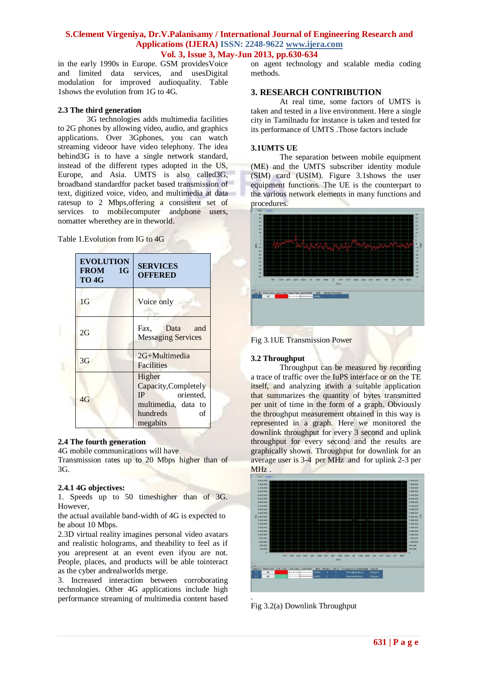in the early 1990s in Europe. GSM providesVoice and limited data services, and usesDigital modulation for improved audioquality. Table 1shows the evolution from 1G to 4G.

## **2.3 The third generation**

3G technologies adds multimedia facilities to 2G phones by allowing video, audio, and graphics applications. Over 3Gphones, you can watch streaming videoor have video telephony. The idea behind3G is to have a single network standard, instead of the different types adopted in the US, Europe, and Asia. UMTS is also called3G, broadband standardfor packet based transmission of text, digitized voice, video, and multimedia at data ratesup to 2 Mbps,offering a consistent set of services to mobilecomputer andphone users, nomatter wherethey are in theworld.

Table 1.Evolution from IG to 4G

| <b>EVOLUTION</b><br><b>FROM</b><br>1G<br>TO <sub>4G</sub> | <b>SERVICES</b><br><b>OFFERED</b>                                                                             |
|-----------------------------------------------------------|---------------------------------------------------------------------------------------------------------------|
| 1G                                                        | Voice only                                                                                                    |
| 2G                                                        | Data<br>Fax.<br>and<br><b>Messaging Services</b>                                                              |
| 3G                                                        | 2G+Multimedia<br><b>Facilities</b>                                                                            |
| 4G                                                        | Higher<br>Capacity, Completely<br><b>IP</b><br>oriented,<br>multimedia, data to<br>hundreds<br>of<br>megabits |

#### **2.4 The fourth generation**

4G mobile communications will have

Transmission rates up to 20 Mbps higher than of 3G.

#### **2.4.1 4G objectives:**

1. Speeds up to 50 timeshigher than of 3G. However,

the actual available band-width of 4G is expected to be about 10 Mbps.

2.3D virtual reality imagines personal video avatars and realistic holograms, and theability to feel as if you arepresent at an event even ifyou are not. People, places, and products will be able tointeract as the cyber andrealworlds merge.

3. Increased interaction between corroborating technologies. Other 4G applications include high performance streaming of multimedia content based on agent technology and scalable media coding methods.

## **3. RESEARCH CONTRIBUTION**

At real time, some factors of UMTS is taken and tested in a live environment. Here a single city in Tamilnadu for instance is taken and tested for its performance of UMTS .Those factors include

#### **3.1UMTS UE**

The separation between mobile equipment (ME) and the UMTS subscriber identity module (SIM) card (USIM). Figure 3.1shows the user equipment functions. The UE is the counterpart to the various network elements in many functions and procedures.



Fig 3.1UE Transmission Power

#### **3.2 Throughput**

Throughput can be measured by recording a trace of traffic over the IuPS interface or on the TE itself, and analyzing itwith a suitable application that summarizes the quantity of bytes transmitted per unit of time in the form of a graph. Obviously the throughput measurement obtained in this way is represented in a graph. Here we monitored the downlink throughput for every 3 second and uplink throughput for every second and the results are graphically shown. Throughput for downlink for an average user is 3-4 per MHz and for uplink 2-3 per MHz .



Fig 3.2(a) Downlink Throughput

.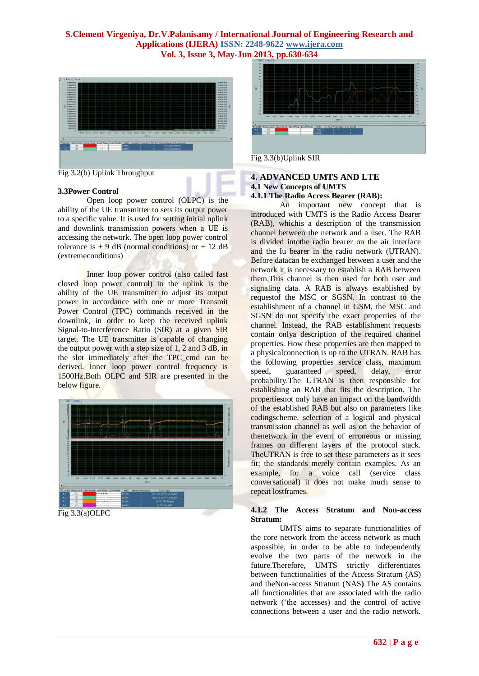

Fig 3.2(b) Uplink Throughput

#### **3.3Power Control**

Open loop power control (OLPC) is the ability of the UE transmitter to sets its output power to a specific value. It is used for setting initial uplink and downlink transmission powers when a UE is accessing the network. The open loop power control tolerance is  $\pm$  9 dB (normal conditions) or  $\pm$  12 dB (extremeconditions)

Inner loop power control (also called fast closed loop power control) in the uplink is the ability of the UE transmitter to adjust its output power in accordance with one or more Transmit Power Control (TPC) commands received in the downlink, in order to keep the received uplink Signal-to-Interference Ratio (SIR) at a given SIR target. The UE transmitter is capable of changing the output power with a step size of 1, 2 and 3 dB, in the slot immediately after the TPC\_cmd can be derived. Inner loop power control frequency is 1500Hz.Both OLPC and SIR are presented in the below figure.



Fig 3.3(b)Uplink SIR

#### **4. ADVANCED UMTS AND LTE 4.1 New Concepts of UMTS**

#### **4.1.1 The Radio Access Bearer (RAB):**

An important new concept that is introduced with UMTS is the Radio Access Bearer (RAB), whichis a description of the transmission channel between the network and a user. The RAB is divided intothe radio bearer on the air interface and the Iu bearer in the radio network (UTRAN). Before datacan be exchanged between a user and the network it is necessary to establish a RAB between them.This channel is then used for both user and signaling data. A RAB is always established by requestof the MSC or SGSN. In contrast to the establishment of a channel in GSM, the MSC and SGSN do not specify the exact properties of the channel. Instead, the RAB establishment requests contain onlya description of the required channel properties. How these properties are then mapped to a physicalconnection is up to the UTRAN. RAB has the following properties service class, maximum speed, guaranteed speed, delay, error probability.The UTRAN is then responsible for establishing an RAB that fits the description. The propertiesnot only have an impact on the bandwidth of the established RAB but also on parameters like codingscheme, selection of a logical and physical transmission channel as well as on the behavior of thenetwork in the event of erroneous or missing frames on different layers of the protocol stack. TheUTRAN is free to set these parameters as it sees fit; the standards merely contain examples. As an example, for a voice call (service class conversational) it does not make much sense to repeat lostframes.

#### **4.1.2 The Access Stratum and Non-access Stratum:**

UMTS aims to separate functionalities of the core network from the access network as much aspossible, in order to be able to independently evolve the two parts of the network in the future.Therefore, UMTS strictly differentiates between functionalities of the Access Stratum (AS) and theNon-access Stratum (NAS**)** The AS contains all functionalities that are associated with the radio network ('the accesses) and the control of active connections between a user and the radio network.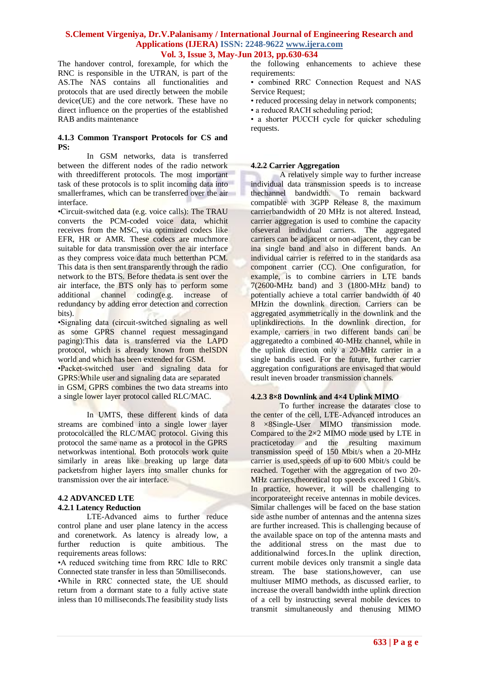The handover control, forexample, for which the RNC is responsible in the UTRAN, is part of the AS.The NAS contains all functionalities and protocols that are used directly between the mobile device(UE) and the core network. These have no direct influence on the properties of the established RAB andits maintenance

#### **4.1.3 Common Transport Protocols for CS and PS:**

In GSM networks, data is transferred between the different nodes of the radio network with threedifferent protocols. The most important task of these protocols is to split incoming data into smallerframes, which can be transferred over the air interface.

•Circuit-switched data (e.g. voice calls): The TRAU converts the PCM-coded voice data, whichit receives from the MSC, via optimized codecs like EFR, HR or AMR. These codecs are muchmore suitable for data transmission over the air interface as they compress voice data much betterthan PCM. This data is then sent transparently through the radio network to the BTS. Before thedata is sent over the air interface, the BTS only has to perform some additional channel coding(e.g. increase of redundancy by adding error detection and correction bits).

•Signaling data (circuit-switched signaling as well as some GPRS channel request messagingand paging):This data is transferred via the LAPD protocol, which is already known from theISDN world and which has been extended for GSM.

•Packet-switched user and signaling data for GPRS:While user and signaling data are separated in GSM, GPRS combines the two data streams into a single lower layer protocol called RLC/MAC.

In UMTS, these different kinds of data streams are combined into a single lower layer protocolcalled the RLC/MAC protocol. Giving this protocol the same name as a protocol in the GPRS networkwas intentional. Both protocols work quite similarly in areas like breaking up large data packetsfrom higher layers into smaller chunks for transmission over the air interface.

#### **4.2 ADVANCED LTE 4.2.1 Latency Reduction**

LTE-Advanced aims to further reduce control plane and user plane latency in the access and corenetwork. As latency is already low, a further reduction is quite ambitious. The requirements areas follows:

•A reduced switching time from RRC Idle to RRC Connected state transfer in less than 50milliseconds. •While in RRC connected state, the UE should return from a dormant state to a fully active state inless than 10 milliseconds.The feasibility study lists the following enhancements to achieve these requirements:

• combined RRC Connection Request and NAS Service Request;

• reduced processing delay in network components;

• a reduced RACH scheduling period;

• a shorter PUCCH cycle for quicker scheduling requests.

## **4.2.2 Carrier Aggregation**

A relatively simple way to further increase individual data transmission speeds is to increase thechannel bandwidth. To remain backward compatible with 3GPP Release 8, the maximum carrierbandwidth of 20 MHz is not altered. Instead, carrier aggregation is used to combine the capacity ofseveral individual carriers. The aggregated carriers can be adjacent or non-adjacent, they can be ina single band and also in different bands. An individual carrier is referred to in the standards asa component carrier (CC). One configuration, for example, is to combine carriers in LTE bands 7(2600-MHz band) and 3 (1800-MHz band) to potentially achieve a total carrier bandwidth of 40 MHzin the downlink direction. Carriers can be aggregated asymmetrically in the downlink and the uplinkdirections. In the downlink direction, for example, carriers in two different bands can be aggregatedto a combined 40-MHz channel, while in the uplink direction only a 20-MHz carrier in a single bandis used. For the future, further carrier aggregation configurations are envisaged that would result ineven broader transmission channels.

#### **4.2.3 8×8 Downlink and 4×4 Uplink MIMO**

To further increase the datarates close to the center of the cell, LTE-Advanced introduces an 8 ×8Single-User MIMO transmission mode. Compared to the 2×2 MIMO mode used by LTE in practicetoday and the resulting maximum transmission speed of 150 Mbit/s when a 20-MHz carrier is used,speeds of up to 600 Mbit/s could be reached. Together with the aggregation of two 20- MHz carriers,theoretical top speeds exceed 1 Gbit/s. In practice, however, it will be challenging to incorporateeight receive antennas in mobile devices. Similar challenges will be faced on the base station side asthe number of antennas and the antenna sizes are further increased. This is challenging because of the available space on top of the antenna masts and the additional stress on the mast due to additionalwind forces.In the uplink direction, current mobile devices only transmit a single data stream. The base stations,however, can use multiuser MIMO methods, as discussed earlier, to increase the overall bandwidth inthe uplink direction of a cell by instructing several mobile devices to transmit simultaneously and thenusing MIMO